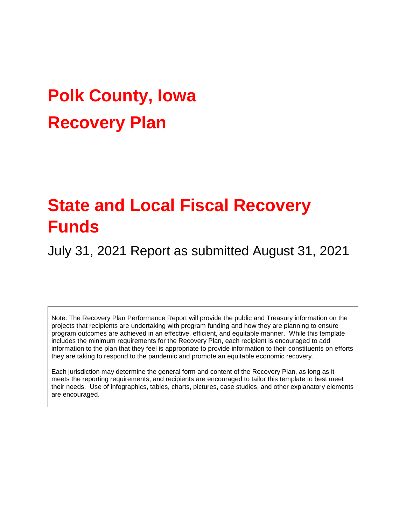# **Polk County, Iowa Recovery Plan**

## **State and Local Fiscal Recovery Funds**

July 31, 2021 Report as submitted August 31, 2021

Note: The Recovery Plan Performance Report will provide the public and Treasury information on the projects that recipients are undertaking with program funding and how they are planning to ensure program outcomes are achieved in an effective, efficient, and equitable manner. While this template includes the minimum requirements for the Recovery Plan, each recipient is encouraged to add information to the plan that they feel is appropriate to provide information to their constituents on efforts they are taking to respond to the pandemic and promote an equitable economic recovery.

Each jurisdiction may determine the general form and content of the Recovery Plan, as long as it meets the reporting requirements, and recipients are encouraged to tailor this template to best meet their needs. Use of infographics, tables, charts, pictures, case studies, and other explanatory elements are encouraged.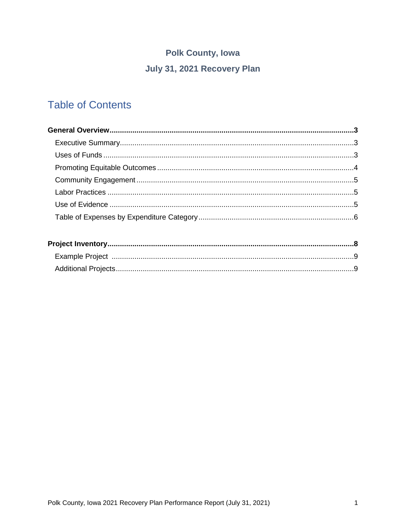## **Polk County, Iowa** July 31, 2021 Recovery Plan

### **Table of Contents**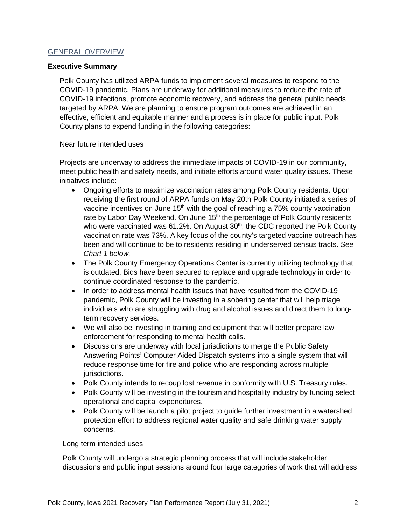#### GENERAL OVERVIEW

#### **Executive Summary**

Polk County has utilized ARPA funds to implement several measures to respond to the COVID-19 pandemic. Plans are underway for additional measures to reduce the rate of COVID-19 infections, promote economic recovery, and address the general public needs targeted by ARPA. We are planning to ensure program outcomes are achieved in an effective, efficient and equitable manner and a process is in place for public input. Polk County plans to expend funding in the following categories:

#### Near future intended uses

Projects are underway to address the immediate impacts of COVID-19 in our community, meet public health and safety needs, and initiate efforts around water quality issues. These initiatives include:

- Ongoing efforts to maximize vaccination rates among Polk County residents. Upon receiving the first round of ARPA funds on May 20th Polk County initiated a series of vaccine incentives on June  $15<sup>th</sup>$  with the goal of reaching a 75% county vaccination rate by Labor Day Weekend. On June 15<sup>th</sup> the percentage of Polk County residents who were vaccinated was 61.2%. On August  $30<sup>th</sup>$ , the CDC reported the Polk County vaccination rate was 73%. A key focus of the county's targeted vaccine outreach has been and will continue to be to residents residing in underserved census tracts. *See Chart 1 below.*
- The Polk County Emergency Operations Center is currently utilizing technology that is outdated. Bids have been secured to replace and upgrade technology in order to continue coordinated response to the pandemic.
- In order to address mental health issues that have resulted from the COVID-19 pandemic, Polk County will be investing in a sobering center that will help triage individuals who are struggling with drug and alcohol issues and direct them to longterm recovery services.
- We will also be investing in training and equipment that will better prepare law enforcement for responding to mental health calls.
- Discussions are underway with local jurisdictions to merge the Public Safety Answering Points' Computer Aided Dispatch systems into a single system that will reduce response time for fire and police who are responding across multiple jurisdictions.
- Polk County intends to recoup lost revenue in conformity with U.S. Treasury rules.
- Polk County will be investing in the tourism and hospitality industry by funding select operational and capital expenditures.
- Polk County will be launch a pilot project to quide further investment in a watershed protection effort to address regional water quality and safe drinking water supply concerns.

#### Long term intended uses

Polk County will undergo a strategic planning process that will include stakeholder discussions and public input sessions around four large categories of work that will address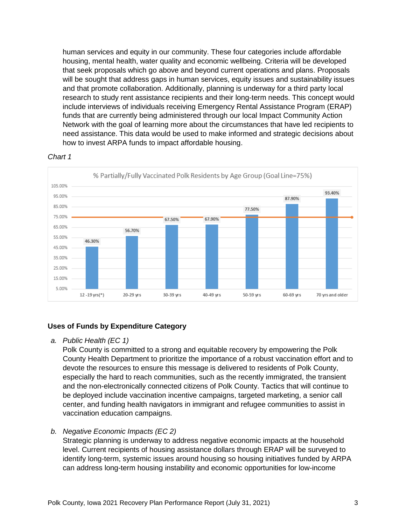human services and equity in our community. These four categories include affordable housing, mental health, water quality and economic wellbeing. Criteria will be developed that seek proposals which go above and beyond current operations and plans. Proposals will be sought that address gaps in human services, equity issues and sustainability issues and that promote collaboration. Additionally, planning is underway for a third party local research to study rent assistance recipients and their long-term needs. This concept would include interviews of individuals receiving Emergency Rental Assistance Program (ERAP) funds that are currently being administered through our local Impact Community Action Network with the goal of learning more about the circumstances that have led recipients to need assistance. This data would be used to make informed and strategic decisions about how to invest ARPA funds to impact affordable housing.



#### *Chart 1*

#### **Uses of Funds by Expenditure Category**

*a. Public Health (EC 1)*

Polk County is committed to a strong and equitable recovery by empowering the Polk County Health Department to prioritize the importance of a robust vaccination effort and to devote the resources to ensure this message is delivered to residents of Polk County, especially the hard to reach communities, such as the recently immigrated, the transient and the non-electronically connected citizens of Polk County. Tactics that will continue to be deployed include vaccination incentive campaigns, targeted marketing, a senior call center, and funding health navigators in immigrant and refugee communities to assist in vaccination education campaigns.

#### *b. Negative Economic Impacts (EC 2)*

Strategic planning is underway to address negative economic impacts at the household level. Current recipients of housing assistance dollars through ERAP will be surveyed to identify long-term, systemic issues around housing so housing initiatives funded by ARPA can address long-term housing instability and economic opportunities for low-income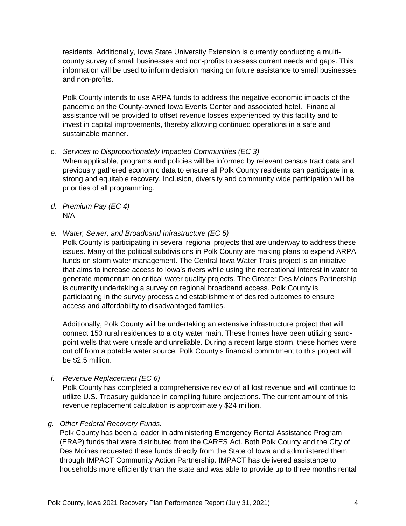residents. Additionally, Iowa State University Extension is currently conducting a multicounty survey of small businesses and non-profits to assess current needs and gaps. This information will be used to inform decision making on future assistance to small businesses and non-profits.

Polk County intends to use ARPA funds to address the negative economic impacts of the pandemic on the County-owned Iowa Events Center and associated hotel. Financial assistance will be provided to offset revenue losses experienced by this facility and to invest in capital improvements, thereby allowing continued operations in a safe and sustainable manner.

- *c. Services to Disproportionately Impacted Communities (EC 3)* When applicable, programs and policies will be informed by relevant census tract data and previously gathered economic data to ensure all Polk County residents can participate in a strong and equitable recovery. Inclusion, diversity and community wide participation will be priorities of all programming.
- *d. Premium Pay (EC 4)* N/A
- *e. Water, Sewer, and Broadband Infrastructure (EC 5)*

Polk County is participating in several regional projects that are underway to address these issues. Many of the political subdivisions in Polk County are making plans to expend ARPA funds on storm water management. The Central Iowa Water Trails project is an initiative that aims to increase access to Iowa's rivers while using the recreational interest in water to generate momentum on critical water quality projects. The Greater Des Moines Partnership is currently undertaking a survey on regional broadband access. Polk County is participating in the survey process and establishment of desired outcomes to ensure access and affordability to disadvantaged families.

Additionally, Polk County will be undertaking an extensive infrastructure project that will connect 150 rural residences to a city water main. These homes have been utilizing sandpoint wells that were unsafe and unreliable. During a recent large storm, these homes were cut off from a potable water source. Polk County's financial commitment to this project will be \$2.5 million.

- *f. Revenue Replacement (EC 6)* Polk County has completed a comprehensive review of all lost revenue and will continue to utilize U.S. Treasury guidance in compiling future projections. The current amount of this revenue replacement calculation is approximately \$24 million.
- *g. Other Federal Recovery Funds.*

Polk County has been a leader in administering Emergency Rental Assistance Program (ERAP) funds that were distributed from the CARES Act. Both Polk County and the City of Des Moines requested these funds directly from the State of Iowa and administered them through IMPACT Community Action Partnership. IMPACT has delivered assistance to households more efficiently than the state and was able to provide up to three months rental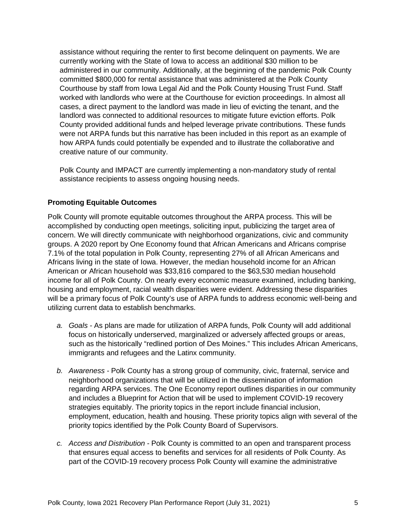assistance without requiring the renter to first become delinquent on payments. We are currently working with the State of Iowa to access an additional \$30 million to be administered in our community. Additionally, at the beginning of the pandemic Polk County committed \$800,000 for rental assistance that was administered at the Polk County Courthouse by staff from Iowa Legal Aid and the Polk County Housing Trust Fund. Staff worked with landlords who were at the Courthouse for eviction proceedings. In almost all cases, a direct payment to the landlord was made in lieu of evicting the tenant, and the landlord was connected to additional resources to mitigate future eviction efforts. Polk County provided additional funds and helped leverage private contributions. These funds were not ARPA funds but this narrative has been included in this report as an example of how ARPA funds could potentially be expended and to illustrate the collaborative and creative nature of our community.

Polk County and IMPACT are currently implementing a non-mandatory study of rental assistance recipients to assess ongoing housing needs.

#### **Promoting Equitable Outcomes**

Polk County will promote equitable outcomes throughout the ARPA process. This will be accomplished by conducting open meetings, soliciting input, publicizing the target area of concern. We will directly communicate with neighborhood organizations, civic and community groups. A 2020 report by One Economy found that African Americans and Africans comprise 7.1% of the total population in Polk County, representing 27% of all African Americans and Africans living in the state of Iowa. However, the median household income for an African American or African household was \$33,816 compared to the \$63,530 median household income for all of Polk County. On nearly every economic measure examined, including banking, housing and employment, racial wealth disparities were evident. Addressing these disparities will be a primary focus of Polk County's use of ARPA funds to address economic well-being and utilizing current data to establish benchmarks.

- *a. Goals -* As plans are made for utilization of ARPA funds, Polk County will add additional focus on historically underserved, marginalized or adversely affected groups or areas, such as the historically "redlined portion of Des Moines." This includes African Americans, immigrants and refugees and the Latinx community.
- *b. Awareness -* Polk County has a strong group of community, civic, fraternal, service and neighborhood organizations that will be utilized in the dissemination of information regarding ARPA services. The One Economy report outlines disparities in our community and includes a Blueprint for Action that will be used to implement COVID-19 recovery strategies equitably. The priority topics in the report include financial inclusion, employment, education, health and housing. These priority topics align with several of the priority topics identified by the Polk County Board of Supervisors.
- *c. Access and Distribution -* Polk County is committed to an open and transparent process that ensures equal access to benefits and services for all residents of Polk County. As part of the COVID-19 recovery process Polk County will examine the administrative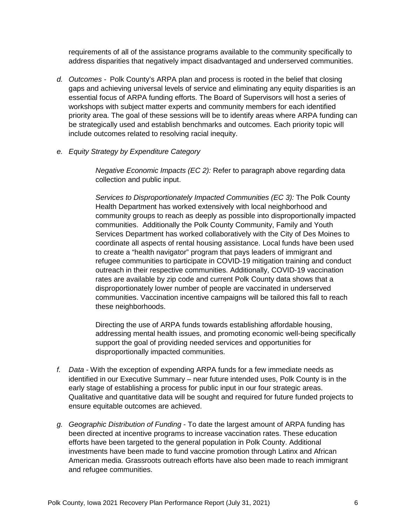requirements of all of the assistance programs available to the community specifically to address disparities that negatively impact disadvantaged and underserved communities.

- *d. Outcomes -* Polk County's ARPA plan and process is rooted in the belief that closing gaps and achieving universal levels of service and eliminating any equity disparities is an essential focus of ARPA funding efforts. The Board of Supervisors will host a series of workshops with subject matter experts and community members for each identified priority area. The goal of these sessions will be to identify areas where ARPA funding can be strategically used and establish benchmarks and outcomes. Each priority topic will include outcomes related to resolving racial inequity.
- *e. Equity Strategy by Expenditure Category*

*Negative Economic Impacts (EC 2):* Refer to paragraph above regarding data collection and public input.

*Services to Disproportionately Impacted Communities (EC 3):* The Polk County Health Department has worked extensively with local neighborhood and community groups to reach as deeply as possible into disproportionally impacted communities. Additionally the Polk County Community, Family and Youth Services Department has worked collaboratively with the City of Des Moines to coordinate all aspects of rental housing assistance. Local funds have been used to create a "health navigator" program that pays leaders of immigrant and refugee communities to participate in COVID-19 mitigation training and conduct outreach in their respective communities. Additionally, COVID-19 vaccination rates are available by zip code and current Polk County data shows that a disproportionately lower number of people are vaccinated in underserved communities. Vaccination incentive campaigns will be tailored this fall to reach these neighborhoods.

Directing the use of ARPA funds towards establishing affordable housing, addressing mental health issues, and promoting economic well-being specifically support the goal of providing needed services and opportunities for disproportionally impacted communities.

- *f. Data -* With the exception of expending ARPA funds for a few immediate needs as identified in our Executive Summary – near future intended uses, Polk County is in the early stage of establishing a process for public input in our four strategic areas. Qualitative and quantitative data will be sought and required for future funded projects to ensure equitable outcomes are achieved.
- *g. Geographic Distribution of Funding* To date the largest amount of ARPA funding has been directed at incentive programs to increase vaccination rates. These education efforts have been targeted to the general population in Polk County. Additional investments have been made to fund vaccine promotion through Latinx and African American media. Grassroots outreach efforts have also been made to reach immigrant and refugee communities.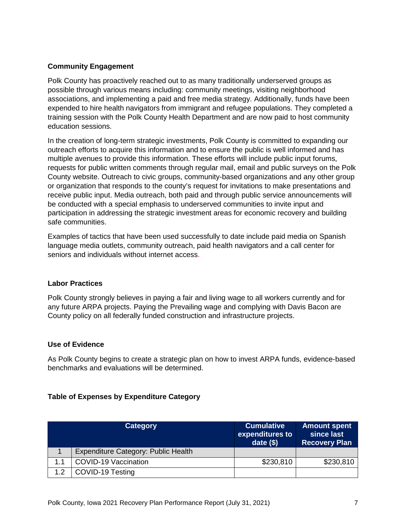#### **Community Engagement**

Polk County has proactively reached out to as many traditionally underserved groups as possible through various means including: community meetings, visiting neighborhood associations, and implementing a paid and free media strategy. Additionally, funds have been expended to hire health navigators from immigrant and refugee populations. They completed a training session with the Polk County Health Department and are now paid to host community education sessions.

In the creation of long-term strategic investments, Polk County is committed to expanding our outreach efforts to acquire this information and to ensure the public is well informed and has multiple avenues to provide this information. These efforts will include public input forums, requests for public written comments through regular mail, email and public surveys on the Polk County website. Outreach to civic groups, community-based organizations and any other group or organization that responds to the county's request for invitations to make presentations and receive public input. Media outreach, both paid and through public service announcements will be conducted with a special emphasis to underserved communities to invite input and participation in addressing the strategic investment areas for economic recovery and building safe communities.

Examples of tactics that have been used successfully to date include paid media on Spanish language media outlets, community outreach, paid health navigators and a call center for seniors and individuals without internet access.

#### **Labor Practices**

Polk County strongly believes in paying a fair and living wage to all workers currently and for any future ARPA projects. Paying the Prevailing wage and complying with Davis Bacon are County policy on all federally funded construction and infrastructure projects.

#### **Use of Evidence**

As Polk County begins to create a strategic plan on how to invest ARPA funds, evidence-based benchmarks and evaluations will be determined.

#### **Table of Expenses by Expenditure Category**

|     | <b>Category</b>                            | <b>Cumulative</b><br>expenditures to<br>date $(\$)$ | <b>Amount spent</b><br>since last<br><b>Recovery Plan</b> |
|-----|--------------------------------------------|-----------------------------------------------------|-----------------------------------------------------------|
|     | <b>Expenditure Category: Public Health</b> |                                                     |                                                           |
| 1.1 | <b>COVID-19 Vaccination</b>                | \$230,810                                           | \$230,810                                                 |
| 1.2 | COVID-19 Testing                           |                                                     |                                                           |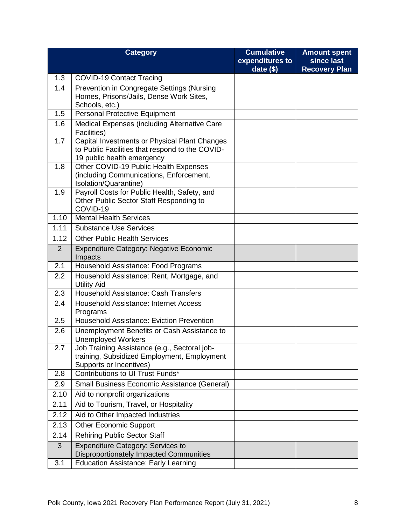|      | <b>Category</b>                                                                                  | <b>Cumulative</b><br>expenditures to | <b>Amount spent</b><br>since last |
|------|--------------------------------------------------------------------------------------------------|--------------------------------------|-----------------------------------|
|      |                                                                                                  | date $(\$)$                          | <b>Recovery Plan</b>              |
| 1.3  | <b>COVID-19 Contact Tracing</b>                                                                  |                                      |                                   |
| 1.4  | Prevention in Congregate Settings (Nursing<br>Homes, Prisons/Jails, Dense Work Sites,            |                                      |                                   |
|      | Schools, etc.)                                                                                   |                                      |                                   |
| 1.5  | <b>Personal Protective Equipment</b>                                                             |                                      |                                   |
| 1.6  | <b>Medical Expenses (including Alternative Care</b>                                              |                                      |                                   |
|      | Facilities)                                                                                      |                                      |                                   |
| 1.7  | Capital Investments or Physical Plant Changes<br>to Public Facilities that respond to the COVID- |                                      |                                   |
|      | 19 public health emergency                                                                       |                                      |                                   |
| 1.8  | Other COVID-19 Public Health Expenses                                                            |                                      |                                   |
|      | (including Communications, Enforcement,<br>Isolation/Quarantine)                                 |                                      |                                   |
| 1.9  | Payroll Costs for Public Health, Safety, and                                                     |                                      |                                   |
|      | Other Public Sector Staff Responding to<br>COVID-19                                              |                                      |                                   |
| 1.10 | <b>Mental Health Services</b>                                                                    |                                      |                                   |
| 1.11 | <b>Substance Use Services</b>                                                                    |                                      |                                   |
| 1.12 | <b>Other Public Health Services</b>                                                              |                                      |                                   |
| 2    | <b>Expenditure Category: Negative Economic</b>                                                   |                                      |                                   |
|      | Impacts                                                                                          |                                      |                                   |
| 2.1  | Household Assistance: Food Programs                                                              |                                      |                                   |
| 2.2  | Household Assistance: Rent, Mortgage, and<br><b>Utility Aid</b>                                  |                                      |                                   |
| 2.3  | Household Assistance: Cash Transfers                                                             |                                      |                                   |
| 2.4  | Household Assistance: Internet Access<br>Programs                                                |                                      |                                   |
| 2.5  | <b>Household Assistance: Eviction Prevention</b>                                                 |                                      |                                   |
| 2.6  | Unemployment Benefits or Cash Assistance to<br><b>Unemployed Workers</b>                         |                                      |                                   |
| 2.7  | Job Training Assistance (e.g., Sectoral job-                                                     |                                      |                                   |
|      | training, Subsidized Employment, Employment                                                      |                                      |                                   |
| 2.8  | Supports or Incentives)<br>Contributions to UI Trust Funds*                                      |                                      |                                   |
|      | <b>Small Business Economic Assistance (General)</b>                                              |                                      |                                   |
| 2.9  |                                                                                                  |                                      |                                   |
| 2.10 | Aid to nonprofit organizations                                                                   |                                      |                                   |
| 2.11 | Aid to Tourism, Travel, or Hospitality                                                           |                                      |                                   |
| 2.12 | Aid to Other Impacted Industries                                                                 |                                      |                                   |
| 2.13 | <b>Other Economic Support</b>                                                                    |                                      |                                   |
| 2.14 | <b>Rehiring Public Sector Staff</b>                                                              |                                      |                                   |
| 3    | <b>Expenditure Category: Services to</b><br>Disproportionately Impacted Communities              |                                      |                                   |
| 3.1  | <b>Education Assistance: Early Learning</b>                                                      |                                      |                                   |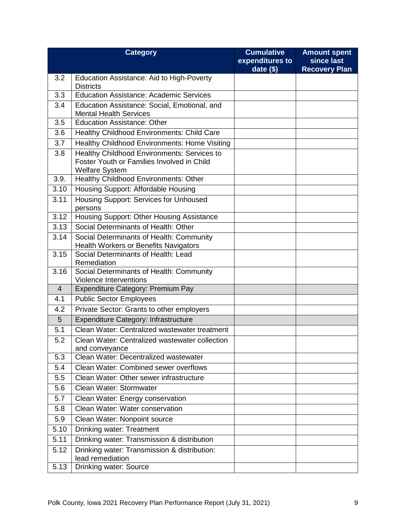|                | <b>Category</b>                                                                                                    | <b>Cumulative</b><br>expenditures to | <b>Amount spent</b><br>since last |
|----------------|--------------------------------------------------------------------------------------------------------------------|--------------------------------------|-----------------------------------|
|                |                                                                                                                    | date $(\$)$                          | <b>Recovery Plan</b>              |
| 3.2            | Education Assistance: Aid to High-Poverty<br><b>Districts</b>                                                      |                                      |                                   |
| 3.3            | <b>Education Assistance: Academic Services</b>                                                                     |                                      |                                   |
| 3.4            | Education Assistance: Social, Emotional, and<br><b>Mental Health Services</b>                                      |                                      |                                   |
| 3.5            | <b>Education Assistance: Other</b>                                                                                 |                                      |                                   |
| 3.6            | Healthy Childhood Environments: Child Care                                                                         |                                      |                                   |
| 3.7            | Healthy Childhood Environments: Home Visiting                                                                      |                                      |                                   |
| 3.8            | Healthy Childhood Environments: Services to<br>Foster Youth or Families Involved in Child<br><b>Welfare System</b> |                                      |                                   |
| 3.9.           | Healthy Childhood Environments: Other                                                                              |                                      |                                   |
| 3.10           | <b>Housing Support: Affordable Housing</b>                                                                         |                                      |                                   |
| 3.11           | Housing Support: Services for Unhoused<br>persons                                                                  |                                      |                                   |
| 3.12           | Housing Support: Other Housing Assistance                                                                          |                                      |                                   |
| 3.13           | Social Determinants of Health: Other                                                                               |                                      |                                   |
| 3.14           | Social Determinants of Health: Community<br><b>Health Workers or Benefits Navigators</b>                           |                                      |                                   |
| 3.15           | Social Determinants of Health: Lead<br>Remediation                                                                 |                                      |                                   |
| 3.16           | Social Determinants of Health: Community<br><b>Violence Interventions</b>                                          |                                      |                                   |
| $\overline{4}$ | Expenditure Category: Premium Pay                                                                                  |                                      |                                   |
| 4.1            | <b>Public Sector Employees</b>                                                                                     |                                      |                                   |
| 4.2            | Private Sector: Grants to other employers                                                                          |                                      |                                   |
| 5              | Expenditure Category: Infrastructure                                                                               |                                      |                                   |
| 5.1            | Clean Water: Centralized wastewater treatment                                                                      |                                      |                                   |
| 5.2            | Clean Water: Centralized wastewater collection<br>and conveyance                                                   |                                      |                                   |
| 5.3            | Clean Water: Decentralized wastewater                                                                              |                                      |                                   |
| 5.4            | Clean Water: Combined sewer overflows                                                                              |                                      |                                   |
| 5.5            | Clean Water: Other sewer infrastructure                                                                            |                                      |                                   |
| 5.6            | Clean Water: Stormwater                                                                                            |                                      |                                   |
| 5.7            | Clean Water: Energy conservation                                                                                   |                                      |                                   |
| 5.8            | Clean Water: Water conservation                                                                                    |                                      |                                   |
| 5.9            | Clean Water: Nonpoint source                                                                                       |                                      |                                   |
| 5.10           | <b>Drinking water: Treatment</b>                                                                                   |                                      |                                   |
| 5.11           | Drinking water: Transmission & distribution                                                                        |                                      |                                   |
| 5.12           | Drinking water: Transmission & distribution:<br>lead remediation                                                   |                                      |                                   |
| 5.13           | <b>Drinking water: Source</b>                                                                                      |                                      |                                   |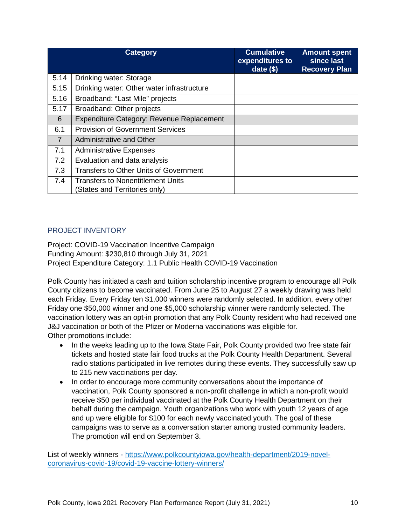|                | <b>Category</b>                                                          | <b>Cumulative</b><br>expenditures to<br>date $($ \$) | <b>Amount spent</b><br>since last<br><b>Recovery Plan</b> |
|----------------|--------------------------------------------------------------------------|------------------------------------------------------|-----------------------------------------------------------|
| 5.14           | Drinking water: Storage                                                  |                                                      |                                                           |
| 5.15           | Drinking water: Other water infrastructure                               |                                                      |                                                           |
| 5.16           | Broadband: "Last Mile" projects                                          |                                                      |                                                           |
| 5.17           | Broadband: Other projects                                                |                                                      |                                                           |
| 6              | Expenditure Category: Revenue Replacement                                |                                                      |                                                           |
| 6.1            | <b>Provision of Government Services</b>                                  |                                                      |                                                           |
| $\overline{7}$ | Administrative and Other                                                 |                                                      |                                                           |
| 7.1            | <b>Administrative Expenses</b>                                           |                                                      |                                                           |
| 7.2            | Evaluation and data analysis                                             |                                                      |                                                           |
| 7.3            | <b>Transfers to Other Units of Government</b>                            |                                                      |                                                           |
| 7.4            | <b>Transfers to Nonentitlement Units</b><br>States and Territories only) |                                                      |                                                           |

#### PROJECT INVENTORY

Project: COVID-19 Vaccination Incentive Campaign Funding Amount: \$230,810 through July 31, 2021 Project Expenditure Category: 1.1 Public Health COVID-19 Vaccination

Polk County has initiated a cash and tuition scholarship incentive program to encourage all Polk County citizens to become vaccinated. From June 25 to August 27 a weekly drawing was held each Friday. Every Friday ten \$1,000 winners were randomly selected. In addition, every other Friday one \$50,000 winner and one \$5,000 scholarship winner were randomly selected. The vaccination lottery was an opt-in promotion that any Polk County resident who had received one J&J vaccination or both of the Pfizer or Moderna vaccinations was eligible for. Other promotions include:

- In the weeks leading up to the Iowa State Fair, Polk County provided two free state fair tickets and hosted state fair food trucks at the Polk County Health Department. Several radio stations participated in live remotes during these events. They successfully saw up to 215 new vaccinations per day.
- In order to encourage more community conversations about the importance of vaccination, Polk County sponsored a non-profit challenge in which a non-profit would receive \$50 per individual vaccinated at the Polk County Health Department on their behalf during the campaign. Youth organizations who work with youth 12 years of age and up were eligible for \$100 for each newly vaccinated youth. The goal of these campaigns was to serve as a conversation starter among trusted community leaders. The promotion will end on September 3.

List of weekly winners - [https://www.polkcountyiowa.gov/health-department/2019-novel](https://www.polkcountyiowa.gov/health-department/2019-novel-coronavirus-covid-19/covid-19-vaccine-lottery-winners/)[coronavirus-covid-19/covid-19-vaccine-lottery-winners/](https://www.polkcountyiowa.gov/health-department/2019-novel-coronavirus-covid-19/covid-19-vaccine-lottery-winners/)